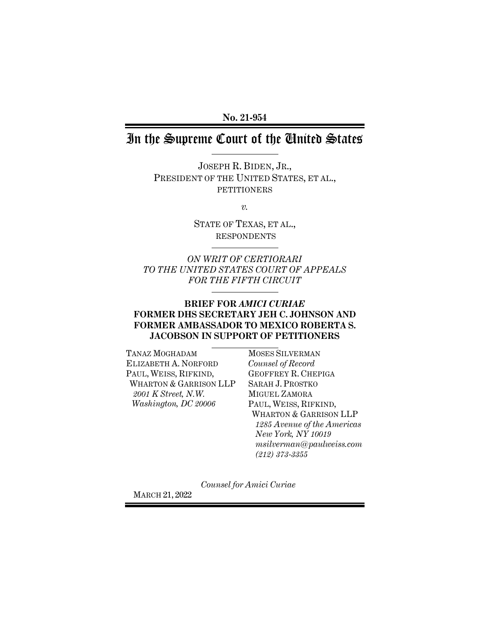**No. 21-954**

# In the Supreme Court of the United States

JOSEPH R. BIDEN, JR., PRESIDENT OF THE UNITED STATES, ET AL., PETITIONERS

*v.*

STATE OF TEXAS, ET AL., RESPONDENTS

*ON WRIT OF CERTIORARI TO THE UNITED STATES COURT OF APPEALS FOR THE FIFTH CIRCUIT*

### **BRIEF FOR** *AMICI CURIAE* **FORMER DHS SECRETARY JEH C. JOHNSON AND FORMER AMBASSADOR TO MEXICO ROBERTA S. JACOBSON IN SUPPORT OF PETITIONERS**

TANAZ MOGHADAM ELIZABETH A. NORFORD PAUL, WEISS, RIFKIND, WHARTON & GARRISON LLP *2001 K Street, N.W. Washington, DC 20006*

MOSES SILVERMAN *Counsel of Record* GEOFFREY R. CHEPIGA SARAH J. PROSTKO MIGUEL ZAMORA PAUL, WEISS, RIFKIND, WHARTON & GARRISON LLP *1285 Avenue of the Americas New York, NY 10019 msilverman@paulweiss.com (212) 373-3355*

*Counsel for Amici Curiae*

MARCH 21, 2022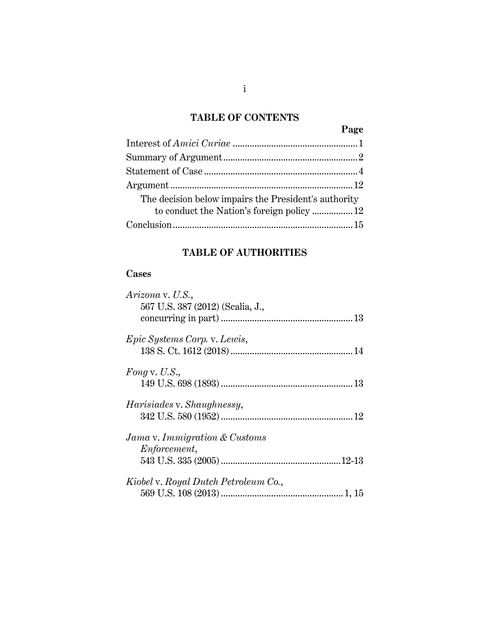## **TABLE OF CONTENTS**

## **Page** Interest of *Amici Curiae* [....................................................1](#page-5-0) [Summary of Argument........................................................2](#page-6-0) Statement of Case [................................................................4](#page-8-0) [Argument............................................................................12](#page-16-0) The decision below impairs the President's authority to conduct the Nation's foreign policy .................12 [Conclusion...........................................................................15](#page-19-0)

## **TABLE OF AUTHORITIES**

### **Cases**

| Arizona v. U.S.,                     |  |
|--------------------------------------|--|
| 567 U.S. 387 (2012) (Scalia, J.,     |  |
|                                      |  |
| Epic Systems Corp. v. Lewis,         |  |
|                                      |  |
| Fong v. U.S.,                        |  |
|                                      |  |
| <i>Harisiades v. Shaughnessy,</i>    |  |
|                                      |  |
| Jama v. Immigration & Customs        |  |
| <i>Enforcement,</i>                  |  |
|                                      |  |
| Kiobel v. Royal Dutch Petroleum Co., |  |
|                                      |  |
|                                      |  |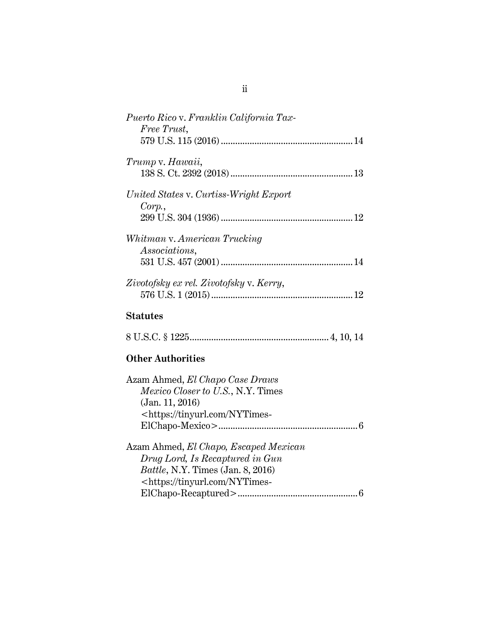| Puerto Rico v. Franklin California Tax-<br>Free Trust, |    |
|--------------------------------------------------------|----|
|                                                        |    |
| Trump v. Hawaii,                                       |    |
|                                                        |    |
| United States v. Curtiss-Wright Export                 |    |
| Corp.                                                  |    |
|                                                        |    |
| Whitman v. American Trucking                           |    |
| <i>Associations,</i>                                   |    |
|                                                        |    |
| Zivotofsky ex rel. Zivotofsky v. Kerry,                |    |
|                                                        | 12 |
|                                                        |    |

## **Statutes**

|--|--|--|--|--|--|--|--|--|

## **Other Authorities**

| Azam Ahmed, El Chapo Case Draws                     |
|-----------------------------------------------------|
| Mexico Closer to U.S., N.Y. Times                   |
| (Jan. 11, 2016)                                     |
| <https: nytimes-<="" td="" tinyurl.com=""></https:> |
|                                                     |
| Azam Ahmed, El Chapo, Escaped Mexican               |
| Drug Lord, Is Recaptured in Gun                     |
| <i>Battle, N.Y. Times (Jan. 8, 2016)</i>            |
| <https: nytimes-<="" td="" tinyurl.com=""></https:> |
|                                                     |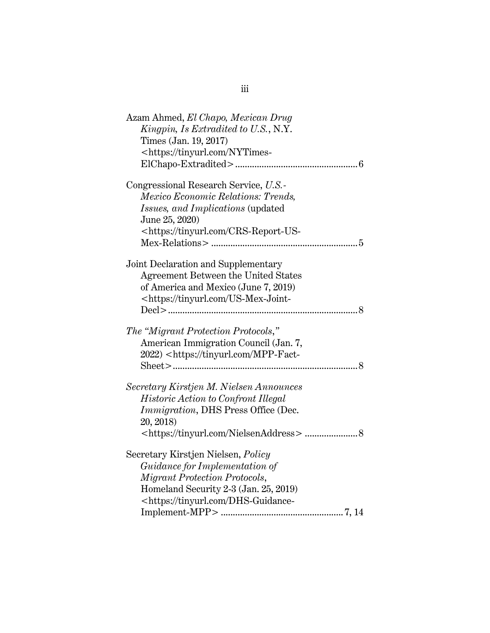| Azam Ahmed, El Chapo, Mexican Drug                            |
|---------------------------------------------------------------|
| Kingpin, Is Extradited to U.S., N.Y.<br>Times (Jan. 19, 2017) |
| <https: nytimes-<="" td="" tinyurl.com=""></https:>           |
|                                                               |
|                                                               |
| Congressional Research Service, U.S.                          |
| Mexico Economic Relations: Trends,                            |
| Issues, and Implications (updated                             |
| June 25, 2020)                                                |
| <https: crs-report-us-<="" td="" tinyurl.com=""></https:>     |
|                                                               |
|                                                               |
| Joint Declaration and Supplementary                           |
| Agreement Between the United States                           |
| of America and Mexico (June 7, 2019)                          |
| <https: td="" tinyurl.com="" us-mex-joint-<=""></https:>      |
|                                                               |
| The "Migrant Protection Protocols,"                           |
| American Immigration Council (Jan. 7,                         |
| 2022) <https: mpp-fact-<="" td="" tinyurl.com=""></https:>    |
|                                                               |
|                                                               |
| Secretary Kirstjen M. Nielsen Announces                       |
| Historic Action to Confront Illegal                           |
| <i>Immigration</i> , DHS Press Office (Dec.                   |
| 20, 2018)                                                     |
|                                                               |
| Secretary Kirstjen Nielsen, Policy                            |
| Guidance for Implementation of                                |
| Migrant Protection Protocols,                                 |
| Homeland Security 2-3 (Jan. 25, 2019)                         |
| <https: dhs-guidance-<="" td="" tinyurl.com=""></https:>      |
|                                                               |

iii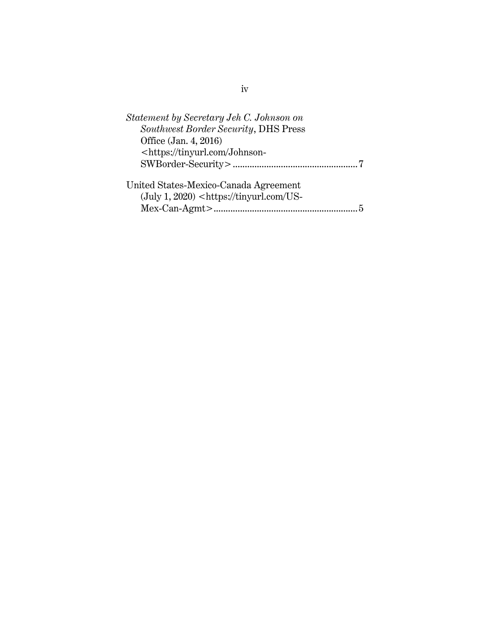| Statement by Secretary Jeh C. Johnson on                                         |  |
|----------------------------------------------------------------------------------|--|
| Southwest Border Security, DHS Press                                             |  |
| Office (Jan. 4, 2016)                                                            |  |
| <https: johnson-<="" td="" tinyurl.com=""><td></td></https:>                     |  |
|                                                                                  |  |
| United States-Mexico-Canada Agreement                                            |  |
| $(\text{July } 1, 2020)$ <https: td="" tinyurl.com="" us-<=""><td></td></https:> |  |
|                                                                                  |  |
|                                                                                  |  |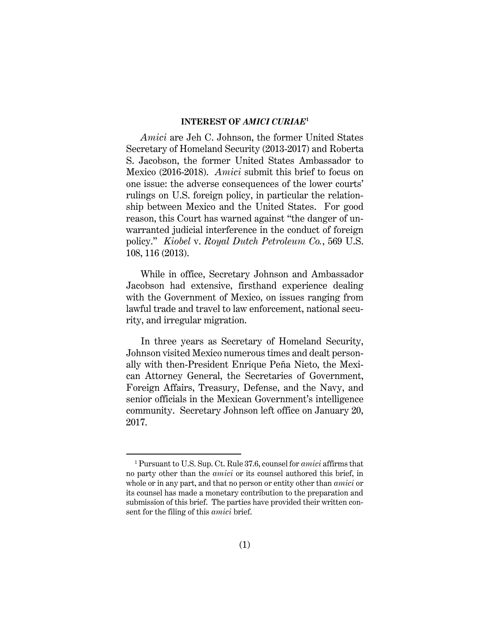### **INTEREST OF** *AMICI CURIAE***<sup>1</sup>**

<span id="page-5-0"></span>*Amici* are Jeh C. Johnson, the former United States Secretary of Homeland Security (2013-2017) and Roberta S. Jacobson, the former United States Ambassador to Mexico (2016-2018). *Amici* submit this brief to focus on one issue: the adverse consequences of the lower courts' rulings on U.S. foreign policy, in particular the relationship between Mexico and the United States. For good reason, this Court has warned against "the danger of unwarranted judicial interference in the conduct of foreign policy." *Kiobel* v. *Royal Dutch Petroleum Co.*, 569 U.S. 108, 116 (2013).

<span id="page-5-1"></span>While in office, Secretary Johnson and Ambassador Jacobson had extensive, firsthand experience dealing with the Government of Mexico, on issues ranging from lawful trade and travel to law enforcement, national security, and irregular migration.

In three years as Secretary of Homeland Security, Johnson visited Mexico numerous times and dealt personally with then-President Enrique Peña Nieto, the Mexican Attorney General, the Secretaries of Government, Foreign Affairs, Treasury, Defense, and the Navy, and senior officials in the Mexican Government's intelligence community. Secretary Johnson left office on January 20, 2017.

<sup>1</sup> Pursuant to U.S. Sup. Ct. Rule 37.6, counsel for *amici* affirms that no party other than the *amici* or its counsel authored this brief, in whole or in any part, and that no person or entity other than *amici* or its counsel has made a monetary contribution to the preparation and submission of this brief. The parties have provided their written consent for the filing of this *amici* brief.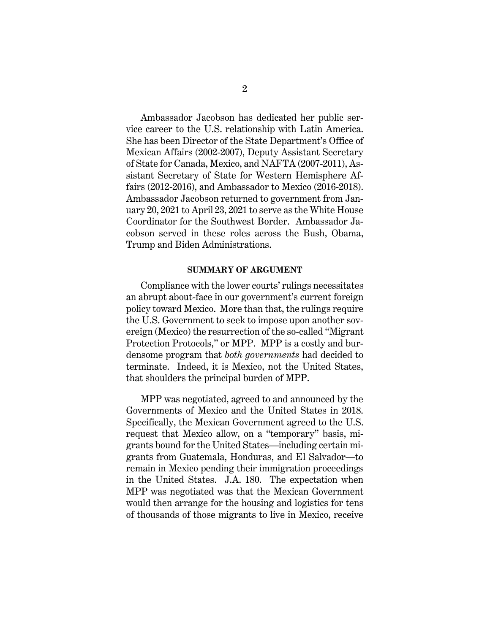Ambassador Jacobson has dedicated her public service career to the U.S. relationship with Latin America. She has been Director of the State Department's Office of Mexican Affairs (2002-2007), Deputy Assistant Secretary of State for Canada, Mexico, and NAFTA (2007-2011), Assistant Secretary of State for Western Hemisphere Affairs (2012-2016), and Ambassador to Mexico (2016-2018). Ambassador Jacobson returned to government from January 20, 2021 to April 23, 2021 to serve as the White House Coordinator for the Southwest Border. Ambassador Jacobson served in these roles across the Bush, Obama, Trump and Biden Administrations.

#### **SUMMARY OF ARGUMENT**

<span id="page-6-0"></span>Compliance with the lower courts' rulings necessitates an abrupt about-face in our government's current foreign policy toward Mexico. More than that, the rulings require the U.S. Government to seek to impose upon another sovereign (Mexico) the resurrection of the so-called "Migrant Protection Protocols," or MPP. MPP is a costly and burdensome program that *both governments* had decided to terminate. Indeed, it is Mexico, not the United States, that shoulders the principal burden of MPP.

MPP was negotiated, agreed to and announced by the Governments of Mexico and the United States in 2018. Specifically, the Mexican Government agreed to the U.S. request that Mexico allow, on a "temporary" basis, migrants bound for the United States—including certain migrants from Guatemala, Honduras, and El Salvador—to remain in Mexico pending their immigration proceedings in the United States. J.A. 180. The expectation when MPP was negotiated was that the Mexican Government would then arrange for the housing and logistics for tens of thousands of those migrants to live in Mexico, receive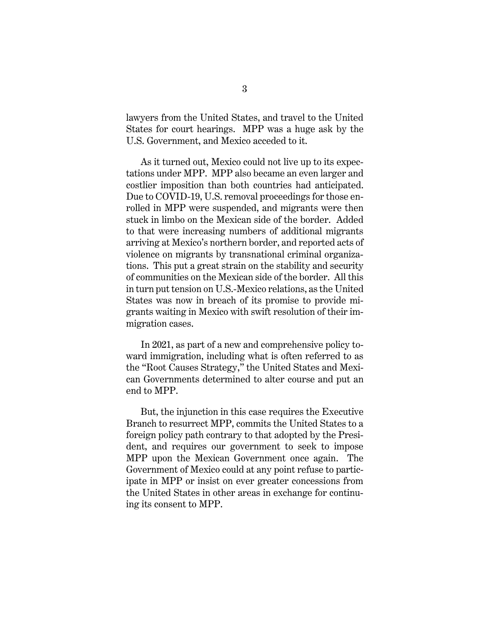lawyers from the United States, and travel to the United States for court hearings. MPP was a huge ask by the U.S. Government, and Mexico acceded to it.

As it turned out, Mexico could not live up to its expectations under MPP. MPP also became an even larger and costlier imposition than both countries had anticipated. Due to COVID-19, U.S. removal proceedings for those enrolled in MPP were suspended, and migrants were then stuck in limbo on the Mexican side of the border. Added to that were increasing numbers of additional migrants arriving at Mexico's northern border, and reported acts of violence on migrants by transnational criminal organizations. This put a great strain on the stability and security of communities on the Mexican side of the border. All this in turn put tension on U.S.-Mexico relations, as the United States was now in breach of its promise to provide migrants waiting in Mexico with swift resolution of their immigration cases.

In 2021, as part of a new and comprehensive policy toward immigration, including what is often referred to as the "Root Causes Strategy," the United States and Mexican Governments determined to alter course and put an end to MPP.

But, the injunction in this case requires the Executive Branch to resurrect MPP, commits the United States to a foreign policy path contrary to that adopted by the President, and requires our government to seek to impose MPP upon the Mexican Government once again. The Government of Mexico could at any point refuse to participate in MPP or insist on ever greater concessions from the United States in other areas in exchange for continuing its consent to MPP.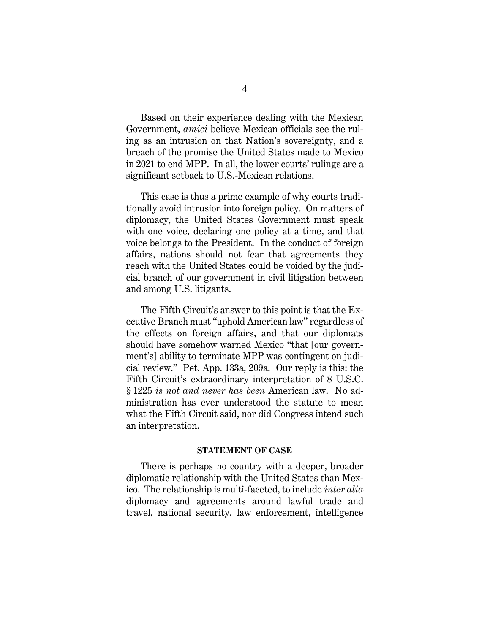Based on their experience dealing with the Mexican Government, *amici* believe Mexican officials see the ruling as an intrusion on that Nation's sovereignty, and a breach of the promise the United States made to Mexico in 2021 to end MPP. In all, the lower courts' rulings are a significant setback to U.S.-Mexican relations.

This case is thus a prime example of why courts traditionally avoid intrusion into foreign policy. On matters of diplomacy, the United States Government must speak with one voice, declaring one policy at a time, and that voice belongs to the President. In the conduct of foreign affairs, nations should not fear that agreements they reach with the United States could be voided by the judicial branch of our government in civil litigation between and among U.S. litigants.

The Fifth Circuit's answer to this point is that the Executive Branch must "uphold American law" regardless of the effects on foreign affairs, and that our diplomats should have somehow warned Mexico "that [our government's] ability to terminate MPP was contingent on judicial review." Pet. App. 133a, 209a. Our reply is this: the Fifth Circuit's extraordinary interpretation of 8 U.S.C. § 1225 *is not and never has been* American law. No administration has ever understood the statute to mean what the Fifth Circuit said, nor did Congress intend such an interpretation.

### <span id="page-8-1"></span>**STATEMENT OF CASE**

<span id="page-8-0"></span>There is perhaps no country with a deeper, broader diplomatic relationship with the United States than Mexico. The relationship is multi-faceted, to include *inter alia*  diplomacy and agreements around lawful trade and travel, national security, law enforcement, intelligence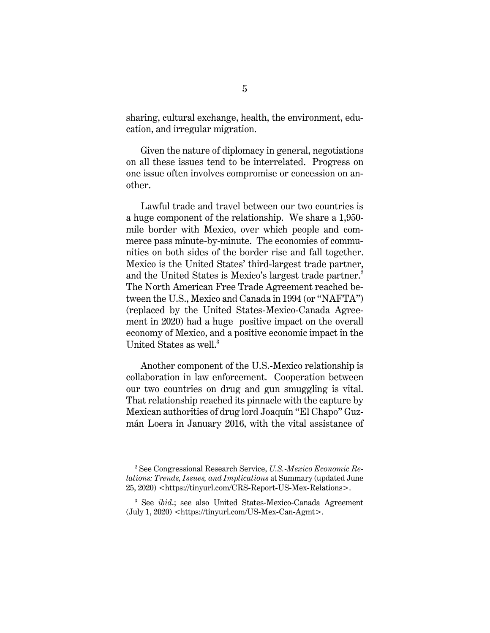sharing, cultural exchange, health, the environment, education, and irregular migration.

Given the nature of diplomacy in general, negotiations on all these issues tend to be interrelated. Progress on one issue often involves compromise or concession on another.

Lawful trade and travel between our two countries is a huge component of the relationship. We share a 1,950 mile border with Mexico, over which people and commerce pass minute-by-minute. The economies of communities on both sides of the border rise and fall together. Mexico is the United States' third-largest trade partner, and the United States is Mexico's largest trade partner.<sup>2</sup> The North American Free Trade Agreement reached between the U.S., Mexico and Canada in 1994 (or "NAFTA") (replaced by the United States-Mexico-Canada Agreement in 2020) had a huge positive impact on the overall economy of Mexico, and a positive economic impact in the United States as well. 3

Another component of the U.S.-Mexico relationship is collaboration in law enforcement. Cooperation between our two countries on drug and gun smuggling is vital. That relationship reached its pinnacle with the capture by Mexican authorities of drug lord Joaquín "El Chapo" Guzmán Loera in January 2016, with the vital assistance of

<span id="page-9-0"></span><sup>2</sup> See Congressional Research Service, *U.S.-Mexico Economic Relations: Trends, Issues, and Implications* at Summary (updated June 25, 2020) <https://tinyurl.com/CRS-Report-US-Mex-Relations>.

<span id="page-9-1"></span><sup>3</sup> See *ibid*.; see also United States-Mexico-Canada Agreement  $(July 1, 2020)$  <https://tinyurl.com/US-Mex-Can-Agmt>.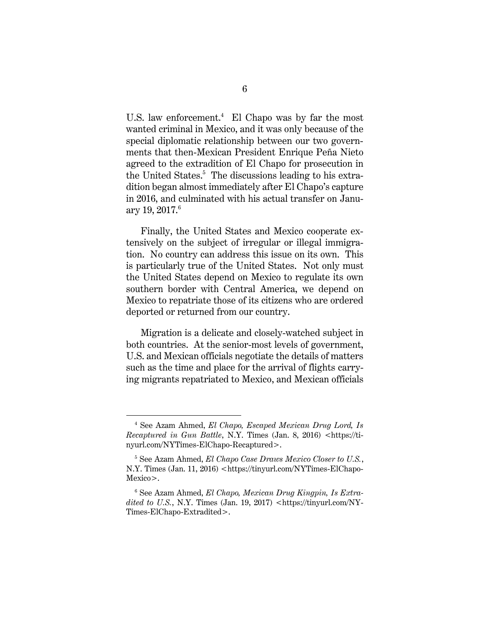U.S. law enforcement. $^{4}$  El Chapo was by far the most wanted criminal in Mexico, and it was only because of the special diplomatic relationship between our two governments that then-Mexican President Enrique Peña Nieto agreed to the extradition of El Chapo for prosecution in the United States.<sup>5</sup> The discussions leading to his extradition began almost immediately after El Chapo's capture in 2016, and culminated with his actual transfer on January 19, 2017. $^6$ 

Finally, the United States and Mexico cooperate extensively on the subject of irregular or illegal immigration. No country can address this issue on its own. This is particularly true of the United States. Not only must the United States depend on Mexico to regulate its own southern border with Central America, we depend on Mexico to repatriate those of its citizens who are ordered deported or returned from our country.

Migration is a delicate and closely-watched subject in both countries. At the senior-most levels of government, U.S. and Mexican officials negotiate the details of matters such as the time and place for the arrival of flights carrying migrants repatriated to Mexico, and Mexican officials

<span id="page-10-1"></span><sup>4</sup> See Azam Ahmed, *El Chapo, Escaped Mexican Drug Lord, Is Recaptured in Gun Battle*, N.Y. Times (Jan. 8, 2016) <https://tinyurl.com/NYTimes-ElChapo-Recaptured>.

<span id="page-10-0"></span><sup>5</sup> See Azam Ahmed, *El Chapo Case Draws Mexico Closer to U.S.*, N.Y. Times (Jan. 11, 2016) <https://tinyurl.com/NYTimes-ElChapo-Mexico>.

<span id="page-10-2"></span><sup>6</sup> See Azam Ahmed, *El Chapo, Mexican Drug Kingpin, Is Extra* $dited to U.S., N.Y. Times (Jan. 19, 2017) <$ https://tinyurl.com/NY-Times-ElChapo-Extradited>.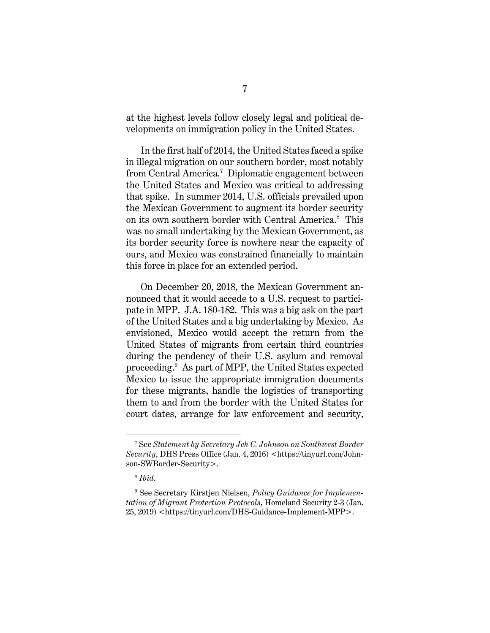at the highest levels follow closely legal and political developments on immigration policy in the United States.

In the first half of 2014, the United States faced a spike in illegal migration on our southern border, most notably from Central America.<sup>7</sup> Diplomatic engagement between the United States and Mexico was critical to addressing that spike. In summer 2014, U.S. officials prevailed upon the Mexican Government to augment its border security on its own southern border with Central America.<sup>8</sup> This was no small undertaking by the Mexican Government, as its border security force is nowhere near the capacity of ours, and Mexico was constrained financially to maintain this force in place for an extended period.

On December 20, 2018, the Mexican Government announced that it would accede to a U.S. request to participate in MPP. J.A. 180-182. This was a big ask on the part of the United States and a big undertaking by Mexico. As envisioned, Mexico would accept the return from the United States of migrants from certain third countries during the pendency of their U.S. asylum and removal proceeding. 9 As part of MPP, the United States expected Mexico to issue the appropriate immigration documents for these migrants, handle the logistics of transporting them to and from the border with the United States for court dates, arrange for law enforcement and security,

<span id="page-11-1"></span><sup>7</sup> See *Statement by Secretary Jeh C. Johnson on Southwest Border Security*, DHS Press Office (Jan. 4, 2016) <https://tinyurl.com/Johnson-SWBorder-Security>.

<span id="page-11-0"></span><sup>8</sup> *Ibid*.

<sup>9</sup> See Secretary Kirstjen Nielsen, *Policy Guidance for Implementation of Migrant Protection Protocols*, Homeland Security 2-3 (Jan. 25, 2019) <https://tinyurl.com/DHS-Guidance-Implement-MPP>.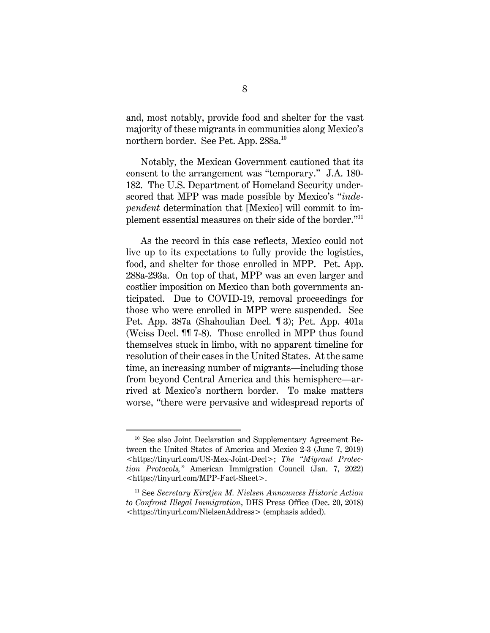and, most notably, provide food and shelter for the vast majority of these migrants in communities along Mexico's northern border. See Pet. App. 288a.<sup>10</sup>

Notably, the Mexican Government cautioned that its consent to the arrangement was "temporary." J.A. 180- 182. The U.S. Department of Homeland Security underscored that MPP was made possible by Mexico's "*independent* determination that [Mexico] will commit to implement essential measures on their side of the border."<sup>11</sup>

As the record in this case reflects, Mexico could not live up to its expectations to fully provide the logistics, food, and shelter for those enrolled in MPP. Pet. App. 288a-293a. On top of that, MPP was an even larger and costlier imposition on Mexico than both governments anticipated. Due to COVID-19, removal proceedings for those who were enrolled in MPP were suspended. See Pet. App. 387a (Shahoulian Decl. ¶ 3); Pet. App. 401a (Weiss Decl. ¶¶ 7-8). Those enrolled in MPP thus found themselves stuck in limbo, with no apparent timeline for resolution of their cases in the United States. At the same time, an increasing number of migrants—including those from beyond Central America and this hemisphere—arrived at Mexico's northern border. To make matters worse, "there were pervasive and widespread reports of

<span id="page-12-1"></span><span id="page-12-0"></span><sup>&</sup>lt;sup>10</sup> See also Joint Declaration and Supplementary Agreement Between the United States of America and Mexico 2-3 (June 7, 2019) <https://tinyurl.com/US-Mex-Joint-Decl>; *The "Migrant Protection Protocols,"* American Immigration Council (Jan. 7, 2022) <https://tinyurl.com/MPP-Fact-Sheet>.

<span id="page-12-2"></span><sup>11</sup> See *Secretary Kirstjen M. Nielsen Announces Historic Action to Confront Illegal Immigration*, DHS Press Office (Dec. 20, 2018) <https://tinyurl.com/NielsenAddress> (emphasis added).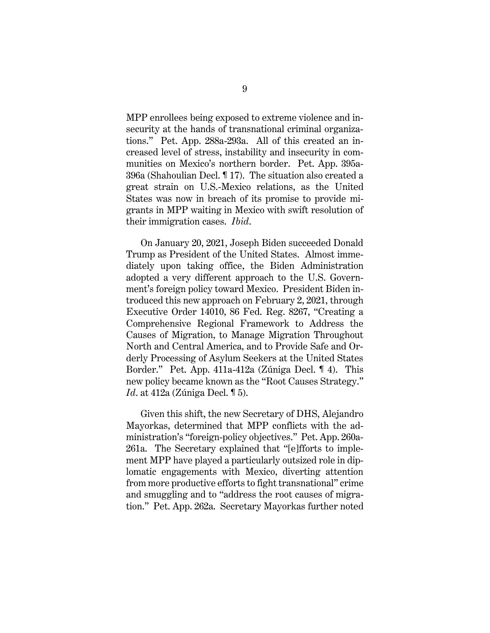MPP enrollees being exposed to extreme violence and insecurity at the hands of transnational criminal organizations." Pet. App. 288a-293a. All of this created an increased level of stress, instability and insecurity in communities on Mexico's northern border. Pet. App. 395a-396a (Shahoulian Decl. ¶ 17). The situation also created a great strain on U.S.-Mexico relations, as the United States was now in breach of its promise to provide migrants in MPP waiting in Mexico with swift resolution of their immigration cases. *Ibid*.

On January 20, 2021, Joseph Biden succeeded Donald Trump as President of the United States. Almost immediately upon taking office, the Biden Administration adopted a very different approach to the U.S. Government's foreign policy toward Mexico. President Biden introduced this new approach on February 2, 2021, through Executive Order 14010, 86 Fed. Reg. 8267, "Creating a Comprehensive Regional Framework to Address the Causes of Migration, to Manage Migration Throughout North and Central America, and to Provide Safe and Orderly Processing of Asylum Seekers at the United States Border." Pet. App. 411a-412a (Zúniga Decl. ¶ 4). This new policy became known as the "Root Causes Strategy." *Id*. at 412a (Zúniga Decl. ¶ 5).

Given this shift, the new Secretary of DHS, Alejandro Mayorkas, determined that MPP conflicts with the administration's "foreign-policy objectives." Pet. App. 260a-261a. The Secretary explained that "[e]fforts to implement MPP have played a particularly outsized role in diplomatic engagements with Mexico, diverting attention from more productive efforts to fight transnational" crime and smuggling and to "address the root causes of migration." Pet. App. 262a. Secretary Mayorkas further noted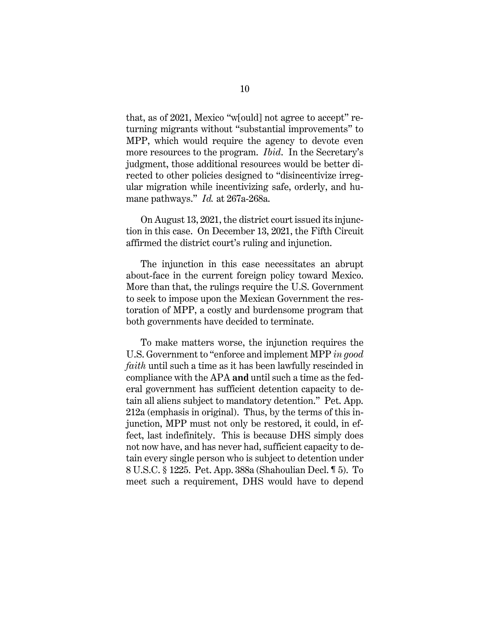that, as of 2021, Mexico "w[ould] not agree to accept" returning migrants without "substantial improvements" to MPP, which would require the agency to devote even more resources to the program. *Ibid*. In the Secretary's judgment, those additional resources would be better directed to other policies designed to "disincentivize irregular migration while incentivizing safe, orderly, and humane pathways." *Id.* at 267a-268a.

On August 13, 2021, the district court issued its injunction in this case. On December 13, 2021, the Fifth Circuit affirmed the district court's ruling and injunction.

The injunction in this case necessitates an abrupt about-face in the current foreign policy toward Mexico. More than that, the rulings require the U.S. Government to seek to impose upon the Mexican Government the restoration of MPP, a costly and burdensome program that both governments have decided to terminate.

<span id="page-14-0"></span>To make matters worse, the injunction requires the U.S. Government to "enforce and implement MPP *in good faith* until such a time as it has been lawfully rescinded in compliance with the APA **and** until such a time as the federal government has sufficient detention capacity to detain all aliens subject to mandatory detention." Pet. App. 212a (emphasis in original). Thus, by the terms of this injunction, MPP must not only be restored, it could, in effect, last indefinitely. This is because DHS simply does not now have, and has never had, sufficient capacity to detain every single person who is subject to detention under 8 U.S.C. § 1225. Pet. App. 388a (Shahoulian Decl. ¶ 5). To meet such a requirement, DHS would have to depend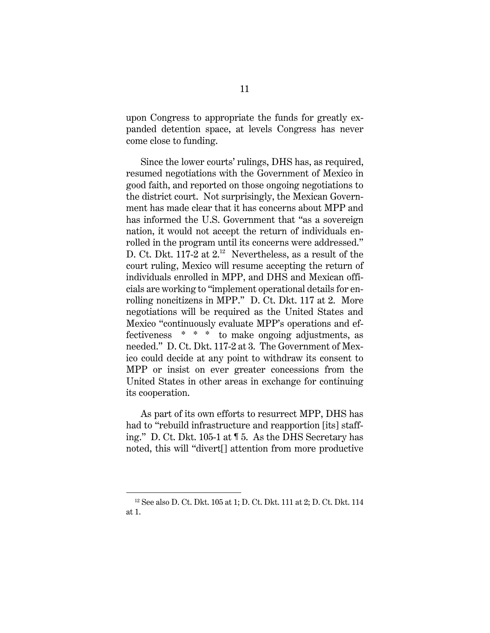upon Congress to appropriate the funds for greatly expanded detention space, at levels Congress has never come close to funding.

Since the lower courts' rulings, DHS has, as required, resumed negotiations with the Government of Mexico in good faith, and reported on those ongoing negotiations to the district court. Not surprisingly, the Mexican Government has made clear that it has concerns about MPP and has informed the U.S. Government that "as a sovereign nation, it would not accept the return of individuals enrolled in the program until its concerns were addressed." D. Ct. Dkt. 117-2 at  $2^{12}$  Nevertheless, as a result of the court ruling, Mexico will resume accepting the return of individuals enrolled in MPP, and DHS and Mexican officials are working to "implement operational details for enrolling noncitizens in MPP." D. Ct. Dkt. 117 at 2. More negotiations will be required as the United States and Mexico "continuously evaluate MPP's operations and effectiveness \* \* \* to make ongoing adjustments, as needed." D. Ct. Dkt. 117-2 at 3. The Government of Mexico could decide at any point to withdraw its consent to MPP or insist on ever greater concessions from the United States in other areas in exchange for continuing its cooperation.

As part of its own efforts to resurrect MPP, DHS has had to "rebuild infrastructure and reapportion [its] staffing." D. Ct. Dkt. 105-1 at ¶ 5. As the DHS Secretary has noted, this will "divert[] attention from more productive

<sup>12</sup> See also D. Ct. Dkt. 105 at 1; D. Ct. Dkt. 111 at 2; D. Ct. Dkt. 114 at 1.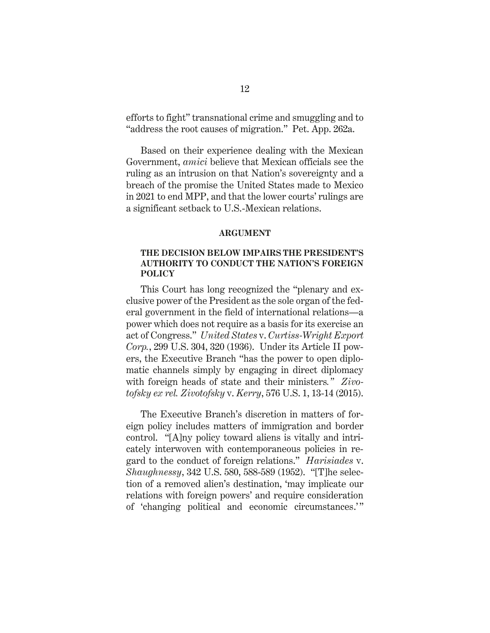efforts to fight" transnational crime and smuggling and to "address the root causes of migration." Pet. App. 262a.

Based on their experience dealing with the Mexican Government, *amici* believe that Mexican officials see the ruling as an intrusion on that Nation's sovereignty and a breach of the promise the United States made to Mexico in 2021 to end MPP, and that the lower courts' rulings are a significant setback to U.S.-Mexican relations.

#### <span id="page-16-3"></span>**ARGUMENT**

### <span id="page-16-0"></span>**THE DECISION BELOW IMPAIRS THE PRESIDENT'S AUTHORITY TO CONDUCT THE NATION'S FOREIGN POLICY**

<span id="page-16-2"></span>This Court has long recognized the "plenary and exclusive power of the President as the sole organ of the federal government in the field of international relations—a power which does not require as a basis for its exercise an act of Congress." *United States* v. *Curtiss-Wright Export Corp.*, 299 U.S. 304, 320 (1936). Under its Article II powers, the Executive Branch "has the power to open diplomatic channels simply by engaging in direct diplomacy with foreign heads of state and their ministers*." Zivotofsky ex rel. Zivotofsky* v. *Kerry*, 576 U.S. 1, 13-14 (2015).

<span id="page-16-1"></span>The Executive Branch's discretion in matters of foreign policy includes matters of immigration and border control. "[A]ny policy toward aliens is vitally and intricately interwoven with contemporaneous policies in regard to the conduct of foreign relations." *Harisiades* v. *Shaughnessy*, 342 U.S. 580, 588-589 (1952). "[T]he selection of a removed alien's destination, 'may implicate our relations with foreign powers' and require consideration of 'changing political and economic circumstances.'"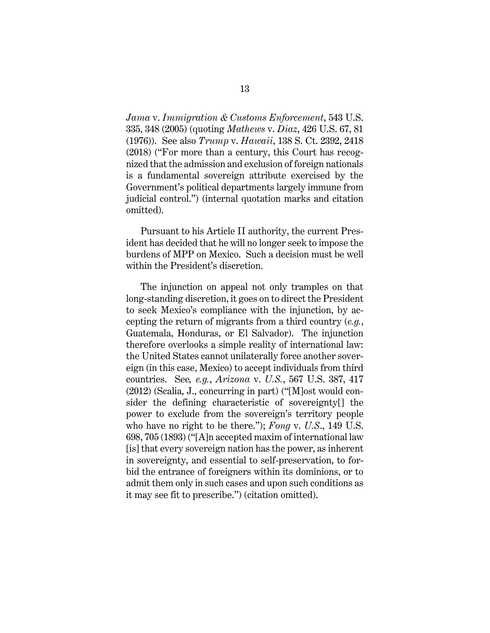<span id="page-17-3"></span><span id="page-17-2"></span>*Jama* v. *Immigration & Customs Enforcement*, 543 U.S. 335, 348 (2005) (quoting *Mathews* v. *Diaz*, 426 U.S. 67, 81 (1976)). See also *Trump* v. *Hawaii*, 138 S. Ct. 2392, 2418 (2018) ("For more than a century, this Court has recognized that the admission and exclusion of foreign nationals is a fundamental sovereign attribute exercised by the Government's political departments largely immune from judicial control.") (internal quotation marks and citation omitted).

Pursuant to his Article II authority, the current President has decided that he will no longer seek to impose the burdens of MPP on Mexico. Such a decision must be well within the President's discretion.

<span id="page-17-1"></span><span id="page-17-0"></span>The injunction on appeal not only tramples on that long-standing discretion, it goes on to direct the President to seek Mexico's compliance with the injunction, by accepting the return of migrants from a third country (*e.g.*, Guatemala, Honduras, or El Salvador). The injunction therefore overlooks a simple reality of international law: the United States cannot unilaterally force another sovereign (in this case, Mexico) to accept individuals from third countries. See*, e.g.*, *Arizona* v. *U.S.*, 567 U.S. 387, 417 (2012) (Scalia, J., concurring in part) ("[M]ost would consider the defining characteristic of sovereignty[] the power to exclude from the sovereign's territory people who have no right to be there."); *Fong* v. *U.S*., 149 U.S. 698, 705 (1893) ("[A]n accepted maxim of international law [is] that every sovereign nation has the power, as inherent in sovereignty, and essential to self-preservation, to forbid the entrance of foreigners within its dominions, or to admit them only in such cases and upon such conditions as it may see fit to prescribe.") (citation omitted).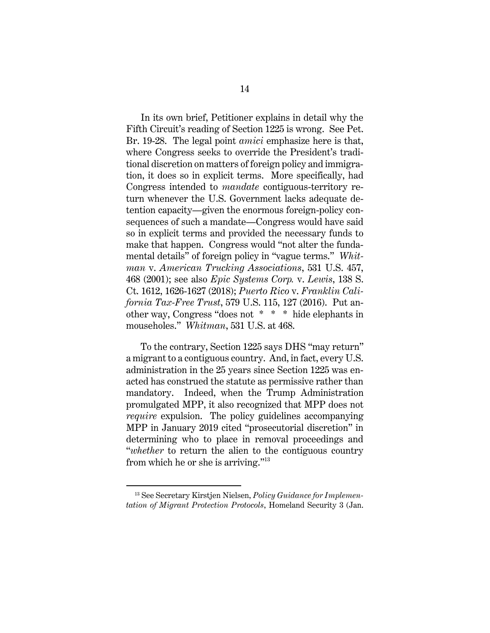<span id="page-18-3"></span>In its own brief, Petitioner explains in detail why the Fifth Circuit's reading of Section 1225 is wrong. See Pet. Br. 19-28. The legal point *amici* emphasize here is that, where Congress seeks to override the President's traditional discretion on matters of foreign policy and immigration, it does so in explicit terms. More specifically, had Congress intended to *mandate* contiguous-territory return whenever the U.S. Government lacks adequate detention capacity—given the enormous foreign-policy consequences of such a mandate—Congress would have said so in explicit terms and provided the necessary funds to make that happen. Congress would "not alter the fundamental details" of foreign policy in "vague terms." *Whitman* v. *American Trucking Associations*, 531 U.S. 457, 468 (2001); see also *Epic Systems Corp.* v. *Lewis*, 138 S. Ct. 1612, 1626-1627 (2018); *Puerto Rico* v. *Franklin California Tax-Free Trust*, 579 U.S. 115, 127 (2016). Put another way, Congress "does not \* \* \* hide elephants in mouseholes." *Whitman*, 531 U.S. at 468.

<span id="page-18-2"></span><span id="page-18-1"></span><span id="page-18-0"></span>To the contrary, Section 1225 says DHS "may return" a migrant to a contiguous country. And, in fact, every U.S. administration in the 25 years since Section 1225 was enacted has construed the statute as permissive rather than mandatory. Indeed, when the Trump Administration promulgated MPP, it also recognized that MPP does not *require* expulsion. The policy guidelines accompanying MPP in January 2019 cited "prosecutorial discretion" in determining who to place in removal proceedings and "*whether* to return the alien to the contiguous country from which he or she is arriving."<sup>13</sup>

<span id="page-18-4"></span><sup>13</sup> See Secretary Kirstjen Nielsen, *Policy Guidance for Implementation of Migrant Protection Protocols*, Homeland Security 3 (Jan.